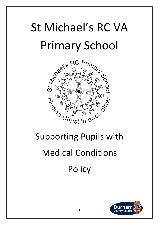## St Michael's RC VA Primary School



# Medical Conditions **Policy**

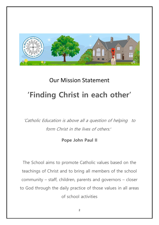

### Our Mission Statement **'Finding Christ in each other'**

'Catholic Education is above all a question of helping to form Christ in the lives of others'

#### **Pope John Paul II**

The School aims to promote Catholic values based on the teachings of Christ and to bring all members of the school community – staff, children, parents and governors – closer to God through the daily practice of those values in all areas of school activities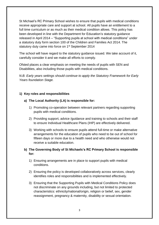St Michael's RC Primary School wishes to ensure that pupils with medical conditions receive appropriate care and support at school. All pupils have an entitlement to a full time curriculum or as much as their medical condition allows. This policy has been developed in line with the Department for Education's statutory guidance released in April 2014 – "Supporting pupils at school with medical conditions" under a statutory duty form section 100 of the Children and Families Act 2014. The statutory duty came into force on 1<sup>st</sup> September 2014

The school will have regard to the statutory guidance issued. We take account of it, carefully consider it and we make all efforts to comply.

Ofsted places a clear emphasis on meeting the needs of pupils with SEN and Disabilities, also including those pupils with medical conditions.

*N.B. Early years settings should continue to apply the Statutory Framework for Early Years foundation Stage.* 

#### **1) Key roles and responsibilities**

#### **a) The Local Authority (LA) is responsible for:**

- 1) Promoting co-operation between relevant partners regarding supporting pupils with medical conditions.
- 2) Providing support, advice /guidance and training to schools and their staff to ensure Individual Healthcare Plans (IHP) are effectively delivered.
- 3) Working with schools to ensure pupils attend full-time or make alternative arrangements for the education of pupils who need to be out of school for fifteen days or more due to a health need and who otherwise would not receive a suitable education.

#### **b) The Governing Body of St Michaels's RC Primary School is responsible for:**

- 1) Ensuring arrangements are in place to support pupils with medical conditions.
- 2) Ensuring the policy is developed collaboratively across services, clearly identifies roles and responsibilities and is implemented effectively.
- 3) Ensuring that the Supporting Pupils with Medical Conditions Policy does not discriminate on any grounds including, but not limited to protected characteristics: ethnicity/national/origin, religion or belief, sex, gender reassignment, pregnancy & maternity, disability or sexual orientation.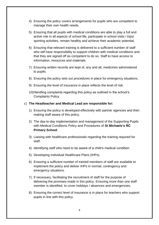- 4) Ensuring the policy covers arrangements for pupils who are competent to manage their own health needs.
- 5) Ensuring that all pupils with medical conditions are able to play a full and active role in all aspects of school life, participate in school visits / trips/ sporting activities, remain healthy and achieve their academic potential.
- 6) Ensuring that relevant training is delivered to a sufficient number of staff who will have responsibility to support children with medical conditions and that they are signed off as competent to do so. Staff to have access to information, resources and materials.
- 7) Ensuring written records are kept of, any and all, medicines administered to pupils.
- 8) Ensuring the policy sets out procedures in place for emergency situations.
- 9) Ensuring the level of insurance in place reflects the level of risk.
- 10)Handling complaints regarding this policy as outlined in the school's Complaints Policy.

#### c) **The Headteacher and Medical Lead are responsible for:**

- 1) Ensuring the policy is developed effectively with partner agencies and then making staff aware of this policy.
- 2) The day-to-day implementation and management of the Supporting Pupils with Medical Conditions Policy and Procedures of **St Michaels's RC Primary School**.
- 3) Liaising with healthcare professionals regarding the training required for staff.
- 4) Identifying staff who need to be aware of a child's medical condition.
- 5) Developing Individual Healthcare Plans (IHPs).
- 6) Ensuring a sufficient number of trained members of staff are available to implement the policy and deliver IHPs in normal, contingency and emergency situations.
- 7) If necessary, facilitating the recruitment of staff for the purpose of delivering the promises made in this policy. Ensuring more than one staff member is identified, to cover holidays / absences and emergencies.
- 8) Ensuring the correct level of insurance is in place for teachers who support pupils in line with this policy.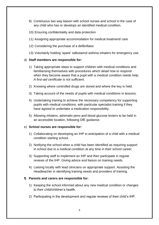- 9) Continuous two way liaison with school nurses and school in the case of any child who has or develops an identified medical condition.
- 10) Ensuring confidentiality and data protection
- 11) Assigning appropriate accommodation for medical treatment/ care
- 12) Considering the purchase of a defibrillator.
- 13) Voluntarily holding 'spare' salbutamol asthma inhalers for emergency use.

#### d) **Staff members are responsible for:**

- 1) Taking appropriate steps to support children with medical conditions and familiarising themselves with procedures which detail how to respond when they become aware that a pupil with a medical condition needs help. *A first-aid certificate is not sufficient*.
- 2) Knowing where controlled drugs are stored and where the key is held.
- 3) Taking account of the needs of pupils with medical conditions in lessons.
- 4) Undertaking training to achieve the necessary competency for supporting pupils with medical conditions, with particular specialist training if they have agreed to undertake a medication responsibility.
- 5) Allowing inhalers, adrenalin pens and blood glucose testers to be held in an accessible location, following DfE guidance.

#### e) **School nurses are responsible for:**

- 1) Collaborating on developing an IHP in anticipation of a child with a medical condition starting school.
- 2) Notifying the school when a child has been identified as requiring support in school due to a medical condition at any time in their school career.
- 3) Supporting staff to implement an IHP and then participate in regular reviews of the IHP. Giving advice and liaison on training needs.
- 4) Liaising locally with lead clinicians on appropriate support. Assisting the Headteacher in identifying training needs and providers of training.

#### **f) Parents and carers are responsible for:**

- 1) Keeping the school informed about any new medical condition or changes to their child/children's health.
- 2) Participating in the development and regular reviews of their child's IHP.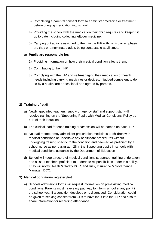- 3) Completing a parental consent form to administer medicine or treatment before bringing medication into school.
- 4) Providing the school with the medication their child requires and keeping it up to date including collecting leftover medicine.
- 5) Carrying out actions assigned to them in the IHP with particular emphasis on, they or a nominated adult, being contactable at all times.

#### g) **Pupils are responsible for:**

- 1) Providing information on how their medical condition affects them.
- 2) Contributing to their IHP
- 3) Complying with the IHP and self-managing their medication or health needs including carrying medicines or devices, if judged competent to do so by a healthcare professional and agreed by parents.

#### **2) Training of staff**

- a) Newly appointed teachers, supply or agency staff and support staff will receive training on the 'Supporting Pupils with Medical Conditions' Policy as part of their induction.
- b) The clinical lead for each training area/session will be named on each IHP.
- c) No staff member may administer prescription medicines to children with medical conditions or undertake any healthcare procedures without undergoing training specific to the condition and deemed as proficient by a school nurse as per paragraph 28 in the Supporting pupils in schools with medical conditions guidance by the Department of Education
- d) School will keep a record of medical conditions supported, training undertaken and a list of teachers proficient to undertake responsibilities under this policy. They will notify Health & Safety DCC, and Risk, Insurance & Governance Manager, DCC.

#### 3) **Medical conditions register /list**

a) Schools admissions forms will request information on pre-existing medical conditions. Parents must have easy pathway to inform school at any point in the school year if a condition develops or is diagnosed. Consideration could be given to seeking consent from GPs to have input into the IHP and also to share information for recording attendance.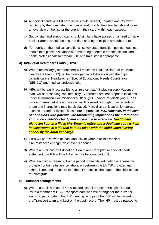- b) A medical conditions list or register should be kept, updated and reviewed regularly by the nominated member of staff. Each class teacher should have an overview of the list for the pupils in their care, within easy access.
- c) Supply staff and support staff should similarly have access on a need to know basis. Parents should be assured data sharing principles are adhered to.
- d) For pupils on the medical conditions list key stage transition points meetings should take place in advance of transferring to enable parents, school and health professionals to prepare IHP and train staff if appropriate.

#### **4) Individual Healthcare Plans (IHPs)**

- a) Where necessary (Headteachers will make the final decision) an Individual Healthcare Plan (IHP) will be developed in collaboration with the pupil, parents/carers, Headteacher, Special Educational Needs Coordinator (SENCO) and medical professionals.
- *b)* IHPs will be easily accessible to all relevant staff, including supply/agency staff, whilst preserving confidentiality. Staffrooms are inappropriate locations under Information Commissioner's Office (ICO) advice for displaying IHP as visitors /parent helpers etc. may enter. If consent is sought from parents a photo and instructions may be displayed. More discreet location for storage such as Intranet or locked file is more appropriate. *P.S. However, in the case of conditions with potential life-threatening implications the information should be available clearly and accessible to everyone. Health care plans are kept in a file in Mrs Brown's office and a duplicate copy is kept in classrooms in a file that is to be taken with the child when leaving school by the adult in charge.*
- c) IHPs will be reviewed at least annually or when a child's medical circumstances change, whichever is sooner.
- d) Where a pupil has an Education, Health and Care plan or special needs statement, the IHP will be linked to it or become part of it.
- e) Where a child is returning from a period of hospital education or alternative provision or home tuition, collaboration between the LA /AP provider and school is needed to ensure that the IHP identifies the support the child needs to reintegrate.

#### 5) **Transport arrangements**

a) Where a pupil with an IHP is allocated school transport the school should invite a member of DCC Transport team who will arrange for the driver or escort to participate in the IHP meeting. A copy of the IHP will be copied to the Transport team and kept on the pupil record. The IHP must be passed to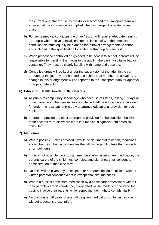the current operator for use by the driver /escort and the Transport team will ensure that the information is supplied when a change of operator takes place.

- b) For some medical conditions the driver/ escort will require adequate training. For pupils who receive specialised support in school with their medical condition this must equally be planned for in travel arrangements to school and included in the specification to tender for that pupil's transport.
- c) When prescribed controlled drugs need to be sent in to school, parents will be responsible for handing them over to the adult in the car in a suitable bag or container. They must be clearly labelled with name and dose etc.
- d) Controlled drugs will be kept under the supervision of the adult in the car throughout the journey and handed to a school staff member on arrival. Any change in this arrangement will be reported to the Transport team for approval or appropriate action.

#### 6) **Education Health Needs (EHN) referrals**

- a) All pupils of compulsory school age who because of illness, lasting 15 days or more, would not otherwise receive a suitable full-time education are provided for under the local authority's duty to arrange educational provision for such pupils.
- b) In order to provide the most appropriate provision for the condition the EHN team accepts referrals where there is a medical diagnosis from amedical consultant.

#### **7) Medicines**

- a) Where possible, unless advised it would be detrimental to health, medicines should be prescribed in frequencies that allow the pupil to take them outside of school hours.
- b) If this is not possible, prior to staff members administering any medication, the parents/carers of the child must complete and sign a parental consent to administration of medicine form.
- c) No child will be given any prescription or non-prescription medicines without written parental consent except in exceptional circumstances.
- d) Where a pupil is prescribed medication by a healthcare professional without their parents'/carers' knowledge, every effort will be made to encourage the pupil to involve their parents while respecting their right to confidentiality.
- e) No child under 16 years of age will be given medication containing aspirin without a doctor's prescription.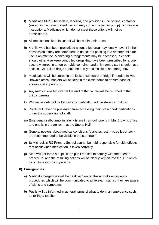- f) Medicines MUST be in date, labelled, and provided in the original container (except in the case of insulin which may come in a pen or pump) with dosage instructions. Medicines which do not meet these criteria will not be administered.
- g) All medications kept in school will be within their dates
- h) A child who has been prescribed a controlled drug may legally have it in their possession if they are competent to do so, but passing it to another child for use is an offence. Monitoring arrangements may be necessary. Schools should otherwise keep controlled drugs that have been prescribed for a pupil securely stored in a non-portable container and only named staff should have access. Controlled drugs should be easily accessible in an emergency.
- i) Medications will be stored in the locked cupboard or fridge if needed in Mrs Brown's office, inhalers will be kept in the classrooms to ensure ease of access and supervision.
- j) Any medications left over at the end of the course will be returned to the child's parents.
- k) Written records will be kept of any medication administered to children.
- l) Pupils will never be prevented from accessing their prescribed medications under the supervision of staff.
- m) Emergency salbutamol inhaler kits are in school, one is in Mrs Brown's office and one is in the art room at the Sports Hall.
- n) General posters about medical conditions (diabetes, asthma, epilepsy etc.) are recommended to be visible in the staff room
- o) St Michaels's RC Primary School cannot be held responsible for side effects that occur when medication is taken correctly.
- p) Staff will not force a pupil, if the pupil refuses to comply with their health procedure, and the resulting actions will be clearly written into the IHP which will include informing parents.

#### **8) Emergencies**

- a) Medical emergencies will be dealt with under the school's emergency procedures which will be communicated to all relevant staff so they are aware of signs and symptoms.
- b) Pupils will be informed in general terms of what to do in an emergency such as telling a teacher.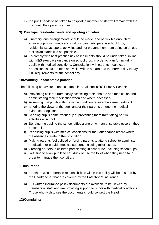c) If a pupil needs to be taken to hospital, a member of staff will remain with the child until their parents arrive.

#### **9) Day trips, residential visits and sporting activities**

- a) Unambiguous arrangements should be made and be flexible enough to ensure pupils with medical conditions can participate in school trips, residential stays, sports activities and not prevent them from doing so unless a clinician states it is not possible.
- b) To comply with best practice risk assessments should be undertaken, in line with H&S executive quidance on school trips, in order to plan for including pupils with medical conditions. Consultation with parents, healthcare professionals etc. on trips and visits will be separate to the normal day to day IHP requirements for the school day.

#### **10)Avoiding unacceptable practice**

The following behaviour is unacceptable in St Michael's RC Primary School:

- a) Preventing children from easily accessing their inhalers and medication and administering their medication when and where necessary.
- b) Assuming that pupils with the same condition require the same treatment.
- c) Ignoring the views of the pupil and/or their parents or ignoring medical evidence or opinion.
- d) Sending pupils home frequently or preventing them from taking part in activities at school
- e) Sending the pupil to the school office alone or with an unsuitable escort if they become ill.
- f) Penalising pupils with medical conditions for their attendance record where the absences relate to their condition.
- g) Making parents feel obliged or forcing parents to attend school to administer medication or provide medical support, including toilet issues.
- h) Creating barriers to children participating in school life, including school trips.
- i) Refusing to allow pupils to eat, drink or use the toilet when they need to in order to manage their condition.

#### **11)Insurance**

- a) Teachers who undertake responsibilities within this policy will be assured by the Headteacher that are covered by the LA/school's insurance.
- b) Full written insurance policy documents are available to be viewed by members of staff who are providing support to pupils with medical conditions. Those who wish to see the documents should contact the Head.

#### **12)Complaints**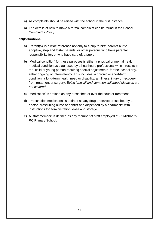- a) All complaints should be raised with the school in the first instance.
- b) The details of how to make a formal complaint can be found in the School Complaints Policy.

#### **13)Definitions**

- a) 'Parent(s)' is a wide reference not only to a pupil's birth parents but to adoptive, step and foster parents, or other persons who have parental responsibility for, or who have care of, a pupil.
- b) 'Medical condition' for these purposes is either a physical or mental health medical condition as diagnosed by a healthcare professional which results in the child or young person requiring special adjustments for the school day, either ongoing or intermittently. This includes; a chronic or short-term condition, a long-term health need or disability, an illness, injury or recovery from treatment or surgery. *Being 'unwell' and common childhood diseases are not covered.*
- c) 'Medication' is defined as any prescribed or over the counter treatment.
- d) 'Prescription medication' is defined as any drug or device prescribed by a doctor, prescribing nurse or dentist and dispensed by a pharmacist with instructions for administration, dose and storage.
- e) A 'staff member' is defined as any member of staff employed at St Michael's RC Primary School.